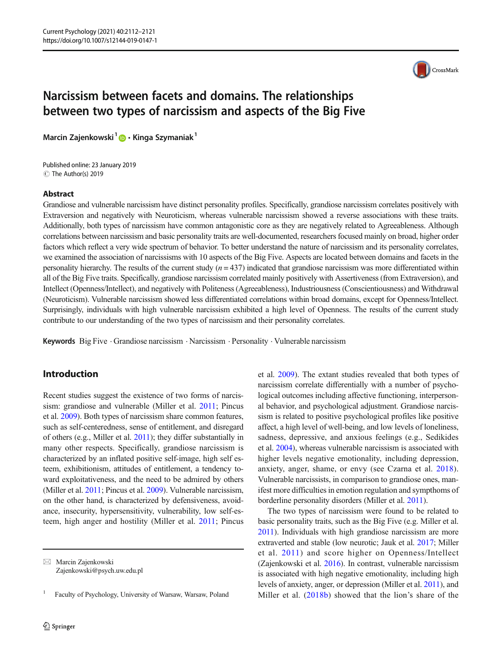

# Narcissism between facets and domains. The relationships between two types of narcissism and aspects of the Big Five

Marcin Zajenkowski<sup>1</sup> **D** · Kinga Szymaniak<sup>1</sup>

C The Author(s) 2019 Published online: 23 January 2019

### Abstract

Grandiose and vulnerable narcissism have distinct personality profiles. Specifically, grandiose narcissism correlates positively with Extraversion and negatively with Neuroticism, whereas vulnerable narcissism showed a reverse associations with these traits. Additionally, both types of narcissism have common antagonistic core as they are negatively related to Agreeableness. Although correlations between narcissism and basic personality traits are well-documented, researchers focused mainly on broad, higher order factors which reflect a very wide spectrum of behavior. To better understand the nature of narcissism and its personality correlates, we examined the association of narcissisms with 10 aspects of the Big Five. Aspects are located between domains and facets in the personality hierarchy. The results of the current study  $(n = 437)$  indicated that grandiose narcissism was more differentiated within all of the Big Five traits. Specifically, grandiose narcissism correlated mainly positively with Assertiveness (from Extraversion), and Intellect (Openness/Intellect), and negatively with Politeness (Agreeableness), Industriousness (Conscientiousness) and Withdrawal (Neuroticism). Vulnerable narcissism showed less differentiated correlations within broad domains, except for Openness/Intellect. Surprisingly, individuals with high vulnerable narcissism exhibited a high level of Openness. The results of the current study contribute to our understanding of the two types of narcissism and their personality correlates.

Keywords Big Five · Grandiose narcissism · Narcissism · Personality · Vulnerable narcissism

# Introduction

Recent studies suggest the existence of two forms of narcissism: grandiose and vulnerable (Miller et al. [2011](#page-9-0); Pincus et al. [2009\)](#page-9-0). Both types of narcissism share common features, such as self-centeredness, sense of entitlement, and disregard of others (e.g., Miller et al. [2011](#page-9-0)); they differ substantially in many other respects. Specifically, grandiose narcissism is characterized by an inflated positive self-image, high self esteem, exhibitionism, attitudes of entitlement, a tendency toward exploitativeness, and the need to be admired by others (Miller et al. [2011](#page-9-0); Pincus et al. [2009\)](#page-9-0). Vulnerable narcissism, on the other hand, is characterized by defensiveness, avoidance, insecurity, hypersensitivity, vulnerability, low self-esteem, high anger and hostility (Miller et al. [2011;](#page-9-0) Pincus et al. [2009\)](#page-9-0). The extant studies revealed that both types of narcissism correlate differentially with a number of psychological outcomes including affective functioning, interpersonal behavior, and psychological adjustment. Grandiose narcissism is related to positive psychological profiles like positive affect, a high level of well-being, and low levels of loneliness, sadness, depressive, and anxious feelings (e.g., Sedikides et al. [2004](#page-9-0)), whereas vulnerable narcissism is associated with higher levels negative emotionality, including depression, anxiety, anger, shame, or envy (see Czarna et al. [2018](#page-8-0)). Vulnerable narcissists, in comparison to grandiose ones, manifest more difficulties in emotion regulation and sympthoms of borderline personality disorders (Miller et al. [2011](#page-9-0)).

The two types of narcissism were found to be related to basic personality traits, such as the Big Five (e.g. Miller et al. [2011](#page-9-0)). Individuals with high grandiose narcissism are more extraverted and stable (low neurotic; Jauk et al. [2017;](#page-9-0) Miller et al. [2011](#page-9-0)) and score higher on Openness/Intellect (Zajenkowski et al. [2016](#page-9-0)). In contrast, vulnerable narcissism is associated with high negative emotionality, including high levels of anxiety, anger, or depression (Miller et al. [2011](#page-9-0)), and Miller et al. ([2018b\)](#page-9-0) showed that the lion's share of the

 $\boxtimes$  Marcin Zajenkowski [Zajenkowski@psych.uw.edu.pl](mailto:Zajenkowski@psych.uw.edu.pl)

<sup>1</sup> Faculty of Psychology, University of Warsaw, Warsaw, Poland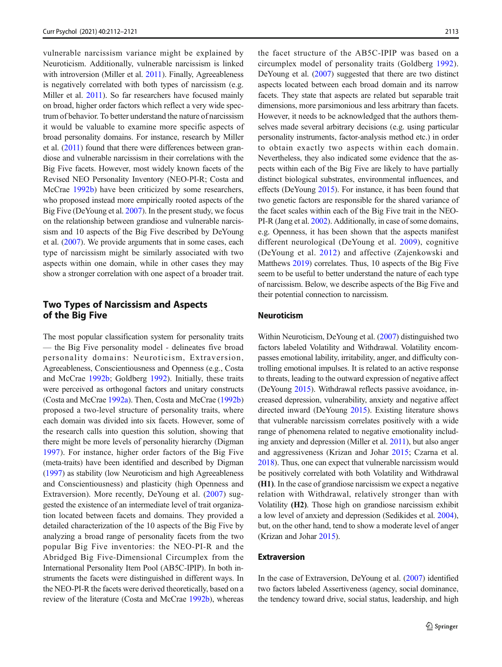vulnerable narcissism variance might be explained by Neuroticism. Additionally, vulnerable narcissism is linked with introversion (Miller et al. [2011](#page-9-0)). Finally, Agreeableness is negatively correlated with both types of narcissism (e.g. Miller et al. [2011\)](#page-9-0). So far researchers have focused mainly on broad, higher order factors which reflect a very wide spectrum of behavior. To better understand the nature of narcissism it would be valuable to examine more specific aspects of broad personality domains. For instance, research by Miller et al. [\(2011](#page-9-0)) found that there were differences between grandiose and vulnerable narcissism in their correlations with the Big Five facets. However, most widely known facets of the Revised NEO Personality Inventory (NEO-PI-R; Costa and McCrae [1992b\)](#page-8-0) have been criticized by some researchers, who proposed instead more empirically rooted aspects of the Big Five (DeYoung et al. [2007](#page-8-0)). In the present study, we focus on the relationship between grandiose and vulnerable narcissism and 10 aspects of the Big Five described by DeYoung et al. [\(2007\)](#page-8-0). We provide arguments that in some cases, each type of narcissism might be similarly associated with two aspects within one domain, while in other cases they may show a stronger correlation with one aspect of a broader trait.

# Two Types of Narcissism and Aspects of the Big Five

The most popular classification system for personality traits — the Big Five personality model - delineates five broad personality domains: Neuroticism, Extraversion, Agreeableness, Conscientiousness and Openness (e.g., Costa and McCrae [1992b](#page-8-0); Goldberg [1992](#page-9-0)). Initially, these traits were perceived as orthogonal factors and unitary constructs (Costa and McCrae [1992a\)](#page-8-0). Then, Costa and McCrae [\(1992b\)](#page-8-0) proposed a two-level structure of personality traits, where each domain was divided into six facets. However, some of the research calls into question this solution, showing that there might be more levels of personality hierarchy (Digman [1997](#page-8-0)). For instance, higher order factors of the Big Five (meta-traits) have been identified and described by Digman [\(1997\)](#page-8-0) as stability (low Neuroticism and high Agreeableness and Conscientiousness) and plasticity (high Openness and Extraversion). More recently, DeYoung et al. ([2007\)](#page-8-0) suggested the existence of an intermediate level of trait organization located between facets and domains. They provided a detailed characterization of the 10 aspects of the Big Five by analyzing a broad range of personality facets from the two popular Big Five inventories: the NEO-PI-R and the Abridged Big Five-Dimensional Circumplex from the International Personality Item Pool (AB5C-IPIP). In both instruments the facets were distinguished in different ways. In the NEO-PI-R the facets were derived theoretically, based on a review of the literature (Costa and McCrae [1992b\)](#page-8-0), whereas

the facet structure of the AB5C-IPIP was based on a circumplex model of personality traits (Goldberg [1992](#page-9-0)). DeYoung et al. [\(2007\)](#page-8-0) suggested that there are two distinct aspects located between each broad domain and its narrow facets. They state that aspects are related but separable trait dimensions, more parsimonious and less arbitrary than facets. However, it needs to be acknowledged that the authors themselves made several arbitrary decisions (e.g. using particular personality instruments, factor-analysis method etc.) in order to obtain exactly two aspects within each domain. Nevertheless, they also indicated some evidence that the aspects within each of the Big Five are likely to have partially distinct biological substrates, environmental influences, and effects (DeYoung [2015](#page-8-0)). For instance, it has been found that two genetic factors are responsible for the shared variance of the facet scales within each of the Big Five trait in the NEO-PI-R (Jang et al. [2002\)](#page-9-0). Additionally, in case of some domains, e.g. Openness, it has been shown that the aspects manifest different neurological (DeYoung et al. [2009](#page-8-0)), cognitive (DeYoung et al. [2012](#page-8-0)) and affective (Zajenkowski and Matthews [2019\)](#page-9-0) correlates. Thus, 10 aspects of the Big Five seem to be useful to better understand the nature of each type of narcissism. Below, we describe aspects of the Big Five and their potential connection to narcissism.

#### Neuroticism

Within Neuroticism, DeYoung et al. ([2007](#page-8-0)) distinguished two factors labeled Volatility and Withdrawal. Volatility encompasses emotional lability, irritability, anger, and difficulty controlling emotional impulses. It is related to an active response to threats, leading to the outward expression of negative affect (DeYoung [2015](#page-8-0)). Withdrawal reflects passive avoidance, increased depression, vulnerability, anxiety and negative affect directed inward (DeYoung [2015\)](#page-8-0). Existing literature shows that vulnerable narcissism correlates positively with a wide range of phenomena related to negative emotionality including anxiety and depression (Miller et al. [2011\)](#page-9-0), but also anger and aggressiveness (Krizan and Johar [2015](#page-9-0); Czarna et al. [2018\)](#page-8-0). Thus, one can expect that vulnerable narcissism would be positively correlated with both Volatility and Withdrawal (H1). In the case of grandiose narcissism we expect a negative relation with Withdrawal, relatively stronger than with Volatility (H2). Those high on grandiose narcissism exhibit a low level of anxiety and depression (Sedikides et al. [2004\)](#page-9-0), but, on the other hand, tend to show a moderate level of anger (Krizan and Johar [2015](#page-9-0)).

#### Extraversion

In the case of Extraversion, DeYoung et al. ([2007](#page-8-0)) identified two factors labeled Assertiveness (agency, social dominance, the tendency toward drive, social status, leadership, and high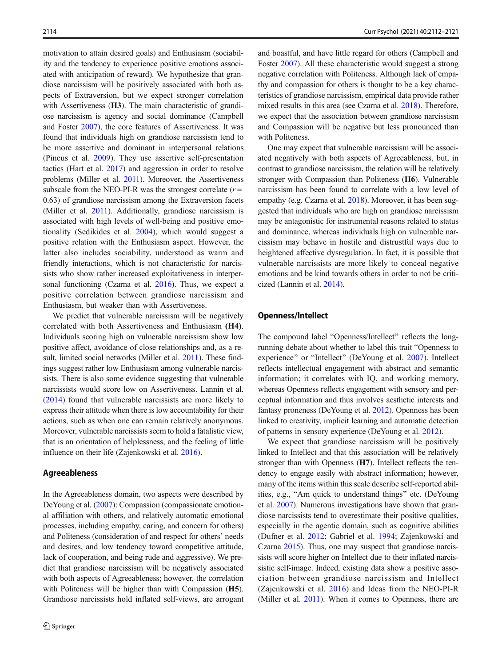motivation to attain desired goals) and Enthusiasm (sociability and the tendency to experience positive emotions associated with anticipation of reward). We hypothesize that grandiose narcissism will be positively associated with both aspects of Extraversion, but we expect stronger correlation with Assertiveness (H3). The main characteristic of grandiose narcissism is agency and social dominance (Campbell and Foster [2007\)](#page-8-0), the core features of Assertiveness. It was found that individuals high on grandiose narcissism tend to be more assertive and dominant in interpersonal relations (Pincus et al. [2009](#page-9-0)). They use assertive self-presentation tactics (Hart et al. [2017\)](#page-9-0) and aggression in order to resolve problems (Miller et al. [2011](#page-9-0)). Moreover, the Assertiveness subscale from the NEO-PI-R was the strongest correlate  $(r =$ 0.63) of grandiose narcissism among the Extraversion facets (Miller et al. [2011](#page-9-0)). Additionally, grandiose narcissism is associated with high levels of well-being and positive emotionality (Sedikides et al. [2004](#page-9-0)), which would suggest a positive relation with the Enthusiasm aspect. However, the latter also includes sociability, understood as warm and friendly interactions, which is not characteristic for narcissists who show rather increased exploitativeness in interpersonal functioning (Czarna et al. [2016\)](#page-8-0). Thus, we expect a positive correlation between grandiose narcissism and Enthusiasm, but weaker than with Assertiveness.

We predict that vulnerable narcissism will be negatively correlated with both Assertiveness and Enthusiasm (H4). Individuals scoring high on vulnerable narcissism show low positive affect, avoidance of close relationships and, as a result, limited social networks (Miller et al. [2011\)](#page-9-0). These findings suggest rather low Enthusiasm among vulnerable narcissists. There is also some evidence suggesting that vulnerable narcissists would score low on Assertiveness. Lannin et al. [\(2014](#page-9-0)) found that vulnerable narcissists are more likely to express their attitude when there is low accountability for their actions, such as when one can remain relatively anonymous. Moreover, vulnerable narcissists seem to hold a fatalistic view, that is an orientation of helplessness, and the feeling of little influence on their life (Zajenkowski et al. [2016](#page-9-0)).

#### Agreeableness

In the Agreeableness domain, two aspects were described by DeYoung et al. [\(2007\)](#page-8-0): Compassion (compassionate emotional affiliation with others, and relatively automatic emotional processes, including empathy, caring, and concern for others) and Politeness (consideration of and respect for others' needs and desires, and low tendency toward competitive attitude, lack of cooperation, and being rude and aggressive). We predict that grandiose narcissism will be negatively associated with both aspects of Agreeableness; however, the correlation with Politeness will be higher than with Compassion (H5). Grandiose narcissists hold inflated self-views, are arrogant and boastful, and have little regard for others (Campbell and Foster [2007\)](#page-8-0). All these characteristic would suggest a strong negative correlation with Politeness. Although lack of empathy and compassion for others is thought to be a key characteristics of grandiose narcissism, empirical data provide rather mixed results in this area (see Czarna et al. [2018\)](#page-8-0). Therefore, we expect that the association between grandiose narcissism and Compassion will be negative but less pronounced than with Politeness.

One may expect that vulnerable narcissism will be associated negatively with both aspects of Agreeableness, but, in contrast to grandiose narcissism, the relation will be relatively stronger with Compassion than Politeness (H6). Vulnerable narcissism has been found to correlate with a low level of empathy (e.g. Czarna et al. [2018\)](#page-8-0). Moreover, it has been suggested that individuals who are high on grandiose narcissism may be antagonistic for instrumental reasons related to status and dominance, whereas individuals high on vulnerable narcissism may behave in hostile and distrustful ways due to heightened affective dysregulation. In fact, it is possible that vulnerable narcissists are more likely to conceal negative emotions and be kind towards others in order to not be criticized (Lannin et al. [2014](#page-9-0)).

#### Openness/Intellect

The compound label "Openness/Intellect" reflects the longrunning debate about whether to label this trait "Openness to experience" or "Intellect" (DeYoung et al. [2007\)](#page-8-0). Intellect reflects intellectual engagement with abstract and semantic information; it correlates with IQ, and working memory, whereas Openness reflects engagement with sensory and perceptual information and thus involves aesthetic interests and fantasy proneness (DeYoung et al. [2012\)](#page-8-0). Openness has been linked to creativity, implicit learning and automatic detection of patterns in sensory experience (DeYoung et al. [2012\)](#page-8-0).

We expect that grandiose narcissism will be positively linked to Intellect and that this association will be relatively stronger than with Openness (H7). Intellect reflects the tendency to engage easily with abstract information; however, many of the items within this scale describe self-reported abilities, e.g., "Am quick to understand things" etc. (DeYoung et al. [2007\)](#page-8-0). Numerous investigations have shown that grandiose narcissists tend to overestimate their positive qualities, especially in the agentic domain, such as cognitive abilities (Dufner et al. [2012](#page-8-0); Gabriel et al. [1994;](#page-9-0) Zajenkowski and Czarna [2015](#page-9-0)). Thus, one may suspect that grandiose narcissists will score higher on Intellect due to their inflated narcissistic self-image. Indeed, existing data show a positive association between grandiose narcissism and Intellect (Zajenkowski et al. [2016\)](#page-9-0) and Ideas from the NEO-PI-R (Miller et al. [2011](#page-9-0)). When it comes to Openness, there are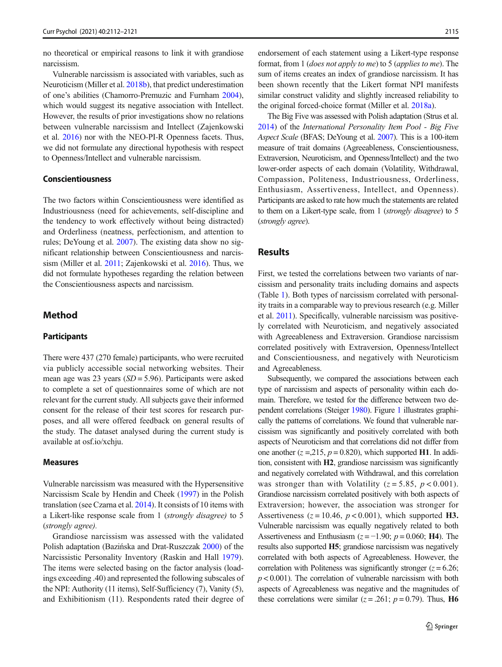no theoretical or empirical reasons to link it with grandiose narcissism.

Vulnerable narcissism is associated with variables, such as Neuroticism (Miller et al. [2018b](#page-9-0)), that predict underestimation of one's abilities (Chamorro-Premuzic and Furnham [2004\)](#page-8-0), which would suggest its negative association with Intellect. However, the results of prior investigations show no relations between vulnerable narcissism and Intellect (Zajenkowski et al. [2016\)](#page-9-0) nor with the NEO-PI-R Openness facets. Thus, we did not formulate any directional hypothesis with respect to Openness/Intellect and vulnerable narcissism.

## Conscientiousness

The two factors within Conscientiousness were identified as Industriousness (need for achievements, self-discipline and the tendency to work effectively without being distracted) and Orderliness (neatness, perfectionism, and attention to rules; DeYoung et al. [2007\)](#page-8-0). The existing data show no significant relationship between Conscientiousness and narcissism (Miller et al. [2011](#page-9-0); Zajenkowski et al. [2016](#page-9-0)). Thus, we did not formulate hypotheses regarding the relation between the Conscientiousness aspects and narcissism.

## Method

## Participants

There were 437 (270 female) participants, who were recruited via publicly accessible social networking websites. Their mean age was 23 years  $(SD = 5.96)$ . Participants were asked to complete a set of questionnaires some of which are not relevant for the current study. All subjects gave their informed consent for the release of their test scores for research purposes, and all were offered feedback on general results of the study. The dataset analysed during the current study is available at osf.io/xchju.

#### Measures

Vulnerable narcissism was measured with the Hypersensitive Narcissism Scale by Hendin and Cheek ([1997](#page-9-0)) in the Polish translation (see Czarna et al. [2014\)](#page-8-0). It consists of 10 items with a Likert-like response scale from 1 (strongly disagree) to 5 (strongly agree).

Grandiose narcissism was assessed with the validated Polish adaptation (Bazińska and Drat-Ruszczak [2000](#page-8-0)) of the Narcissistic Personality Inventory (Raskin and Hall [1979](#page-9-0)). The items were selected basing on the factor analysis (loadings exceeding .40) and represented the following subscales of the NPI: Authority (11 items), Self-Sufficiency (7), Vanity (5), and Exhibitionism (11). Respondents rated their degree of

endorsement of each statement using a Likert-type response format, from 1 (does not apply to me) to 5 (applies to me). The sum of items creates an index of grandiose narcissism. It has been shown recently that the Likert format NPI manifests similar construct validity and slightly increased reliability to the original forced-choice format (Miller et al. [2018a](#page-9-0)).

The Big Five was assessed with Polish adaptation (Strus et al. [2014](#page-9-0)) of the International Personality Item Pool - Big Five Aspect Scale (BFAS; DeYoung et al. [2007\)](#page-8-0). This is a 100-item measure of trait domains (Agreeableness, Conscientiousness, Extraversion, Neuroticism, and Openness/Intellect) and the two lower-order aspects of each domain (Volatility, Withdrawal, Compassion, Politeness, Industriousness, Orderliness, Enthusiasm, Assertiveness, Intellect, and Openness). Participants are asked to rate how much the statements are related to them on a Likert-type scale, from 1 (strongly disagree) to 5 (strongly agree).

# Results

First, we tested the correlations between two variants of narcissism and personality traits including domains and aspects (Table [1](#page-4-0)). Both types of narcissism correlated with personality traits in a comparable way to previous research (e.g. Miller et al. [2011](#page-9-0)). Specifically, vulnerable narcissism was positively correlated with Neuroticism, and negatively associated with Agreeableness and Extraversion. Grandiose narcissism correlated positively with Extraversion, Openness/Intellect and Conscientiousness, and negatively with Neuroticism and Agreeableness.

Subsequently, we compared the associations between each type of narcissism and aspects of personality within each domain. Therefore, we tested for the difference between two dependent correlations (Steiger [1980](#page-9-0)). Figure [1](#page-5-0) illustrates graphically the patterns of correlations. We found that vulnerable narcissism was significantly and positively correlated with both aspects of Neuroticism and that correlations did not differ from one another  $(z = 215, p = 0.820)$ , which supported H1. In addition, consistent with H2, grandiose narcissism was significantly and negatively correlated with Withdrawal, and this correlation was stronger than with Volatility ( $z = 5.85$ ,  $p < 0.001$ ). Grandiose narcissism correlated positively with both aspects of Extraversion; however, the association was stronger for Assertiveness ( $z = 10.46$ ,  $p < 0.001$ ), which supported H3. Vulnerable narcissism was equally negatively related to both Assertiveness and Enthusiasm ( $z = -1.90$ ;  $p = 0.060$ ; H4). The results also supported H5; grandiose narcissism was negatively correlated with both aspects of Agreeableness. However, the correlation with Politeness was significantly stronger  $(z = 6.26)$ ;  $p < 0.001$ ). The correlation of vulnerable narcissism with both aspects of Agreeableness was negative and the magnitudes of these correlations were similar ( $z = .261$ ;  $p = 0.79$ ). Thus, H6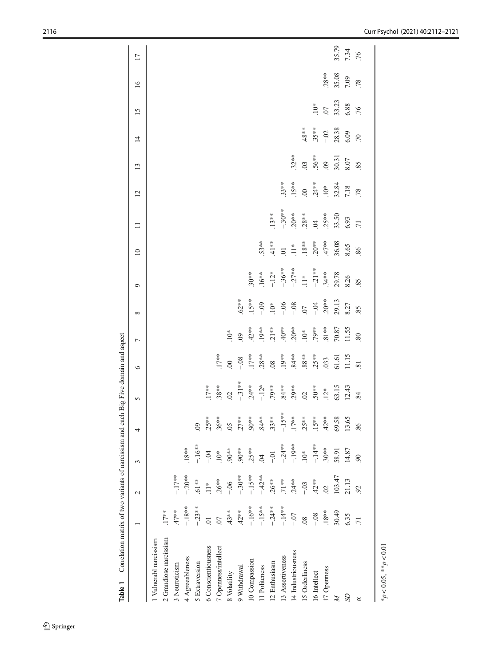<span id="page-4-0"></span>

| Correlation matrix of two variants of narcissism and each Big Five domain and aspect<br>Table 1 |                 |                |                  |                |                                                                                                                    |                                            |                                                                                                  |                                                                                                                  |                                                               |                                                                                                                      |                                                                           |                                                          |                                                     |                         |                                  |                         |                      |
|-------------------------------------------------------------------------------------------------|-----------------|----------------|------------------|----------------|--------------------------------------------------------------------------------------------------------------------|--------------------------------------------|--------------------------------------------------------------------------------------------------|------------------------------------------------------------------------------------------------------------------|---------------------------------------------------------------|----------------------------------------------------------------------------------------------------------------------|---------------------------------------------------------------------------|----------------------------------------------------------|-----------------------------------------------------|-------------------------|----------------------------------|-------------------------|----------------------|
|                                                                                                 |                 | $\sim$         | 3                | 4              | 5                                                                                                                  | $\circ$                                    | $\overline{ }$                                                                                   | ${}^{\circ}$                                                                                                     | $\circ$                                                       | $\overline{10}$                                                                                                      | $\Box$                                                                    | $\overline{c}$                                           | 13                                                  | $\overline{1}$          | 15                               | $\overline{16}$         | $\overline{17}$      |
| 1 Vulnerabl narcissism                                                                          |                 |                |                  |                |                                                                                                                    |                                            |                                                                                                  |                                                                                                                  |                                                               |                                                                                                                      |                                                                           |                                                          |                                                     |                         |                                  |                         |                      |
| 2 Grandiose narcissism                                                                          | $.17***$        |                |                  |                |                                                                                                                    |                                            |                                                                                                  |                                                                                                                  |                                                               |                                                                                                                      |                                                                           |                                                          |                                                     |                         |                                  |                         |                      |
| 3 Neuroticism                                                                                   | $.47**$         | $-.17**$       |                  |                |                                                                                                                    |                                            |                                                                                                  |                                                                                                                  |                                                               |                                                                                                                      |                                                                           |                                                          |                                                     |                         |                                  |                         |                      |
| 4 Agreeableness                                                                                 | $-18**$         | $-20**$        | $.18***$         |                |                                                                                                                    |                                            |                                                                                                  |                                                                                                                  |                                                               |                                                                                                                      |                                                                           |                                                          |                                                     |                         |                                  |                         |                      |
| 5 Extraversion                                                                                  | $-23**$         | $61**$         | $-16**$          | $\overline{0}$ |                                                                                                                    |                                            |                                                                                                  |                                                                                                                  |                                                               |                                                                                                                      |                                                                           |                                                          |                                                     |                         |                                  |                         |                      |
| 6 Conscientiousness                                                                             | $\overline{0}$  | $\frac{1}{11}$ | $-0.4$           | $.25**$        |                                                                                                                    |                                            |                                                                                                  |                                                                                                                  |                                                               |                                                                                                                      |                                                                           |                                                          |                                                     |                         |                                  |                         |                      |
| 7 Openness/intellect                                                                            | $\overline{0}$  | $.26***$       | $10*$            | $.36***$       | $.17***$<br>38**<br>39.32                                                                                          | $17***$                                    |                                                                                                  |                                                                                                                  |                                                               |                                                                                                                      |                                                                           |                                                          |                                                     |                         |                                  |                         |                      |
| 8 Volatility                                                                                    | $43**$          | $-0.06$        | $90**$           | $\overline{0}$ |                                                                                                                    |                                            | $10^*$                                                                                           |                                                                                                                  |                                                               |                                                                                                                      |                                                                           |                                                          |                                                     |                         |                                  |                         |                      |
| 9 Withdrawal                                                                                    | $42**$          | $-30**$        | $^{**}00$        | $27**$         |                                                                                                                    |                                            |                                                                                                  | $62***$                                                                                                          |                                                               |                                                                                                                      |                                                                           |                                                          |                                                     |                         |                                  |                         |                      |
| 10 Compassion                                                                                   | $-.16**$        | $-.15**$       | $25**$           | $90**$         | $-31**$<br>$-34**$<br>$-12**$<br>$-79**$<br>$-84**$<br>$-36**$<br>$-36**$<br>$-36**$<br>$-15*$<br>$-15*$<br>$-15*$ | $-00$<br>$-08$<br>$-17**$<br>$-28**$<br>08 | $09$<br>$42**$<br>$19**$<br>$21**$<br>$40**$<br>$20**$<br>$79**$<br>$81**$<br>$70.87$<br>$70.87$ | $15**$                                                                                                           | $30***$                                                       |                                                                                                                      |                                                                           |                                                          |                                                     |                         |                                  |                         |                      |
| 11 Politeness                                                                                   | $-.15**$        | $-42**$        | $\tilde{q}$      | $.84***$       |                                                                                                                    |                                            |                                                                                                  |                                                                                                                  | $16**$                                                        |                                                                                                                      |                                                                           |                                                          |                                                     |                         |                                  |                         |                      |
| 12 Enthusiasm                                                                                   | $-24**$         | $.26**$        | $-0.1$           | $33**$         |                                                                                                                    |                                            |                                                                                                  |                                                                                                                  | $-12*$                                                        |                                                                                                                      | $13**$                                                                    |                                                          |                                                     |                         |                                  |                         |                      |
| 13 Assertiveness                                                                                | $-14**$         | $71**$         | $-24**$          | $-15**$        |                                                                                                                    |                                            |                                                                                                  |                                                                                                                  |                                                               |                                                                                                                      |                                                                           | $33***$                                                  |                                                     |                         |                                  |                         |                      |
| 14 Industriousness                                                                              | $-0.7$          | $24**$         | $-19**$          | $.17***$       |                                                                                                                    |                                            |                                                                                                  |                                                                                                                  |                                                               |                                                                                                                      |                                                                           |                                                          | $32***$                                             |                         |                                  |                         |                      |
| 15 Orderliness                                                                                  | $\overline{08}$ | $-0.03$        | $\sum_{i=1}^{n}$ | $25**$         |                                                                                                                    |                                            |                                                                                                  |                                                                                                                  |                                                               |                                                                                                                      |                                                                           |                                                          |                                                     | $48**$                  |                                  |                         |                      |
| 16 Intellect                                                                                    | $-0.8$          | $42**$         | $-14**$          | $15**$         |                                                                                                                    | $.84**$<br>$.88***$<br>$.25**$<br>$.033$   |                                                                                                  | $-109$<br>$-10*$<br>$-8$<br>$-08$<br>$-07$<br>$-03*$<br>$-03*$<br>$-03*$<br>$-03*$<br>$-03*$<br>$-03*$<br>$-03*$ | $-36**$<br>$-27**$<br>$-11**$<br>$-21***$<br>$-34**$<br>34.78 | $53**$<br>$41**$<br>$101$<br>$10*$<br>$18**$<br>$10*$<br>$10*$<br>$10*$<br>$10*$<br>$10*$<br>$10*$<br>$10*$<br>$10*$ | $-30**$<br>$.20***$<br>$.28***$<br>$.45***$<br>$.55$<br>$.50$<br>$.53.50$ | $15**$<br>$.00$<br>$.24**$<br>$.10*$<br>$.10*$<br>$7.18$ | $.56***$<br>$.56***$<br>$.09$<br>$.30.31$<br>$8.07$ | $.35***$                |                                  |                         |                      |
| 17 Openness                                                                                     | $.18***$        | $\overline{0}$ | $.30**$          | $42**$         |                                                                                                                    |                                            |                                                                                                  |                                                                                                                  |                                                               |                                                                                                                      |                                                                           |                                                          |                                                     |                         |                                  |                         |                      |
| Z                                                                                               | 30.49           | 103.47         | 58.91            | 69.58          |                                                                                                                    | 61.61<br>11.15                             |                                                                                                  |                                                                                                                  |                                                               |                                                                                                                      |                                                                           |                                                          |                                                     | $-0.2$<br>28.38<br>5.09 | $\frac{10}{33}$<br>33.23<br>6.88 | $28**$<br>35.08<br>7.09 |                      |
| S                                                                                               | 6.35            | 21.13          | 14.87            | 13.65          |                                                                                                                    |                                            |                                                                                                  |                                                                                                                  |                                                               |                                                                                                                      |                                                                           |                                                          |                                                     |                         |                                  |                         | 35.79<br>7.34<br>.76 |
| 8                                                                                               | $\overline{71}$ | 92             | $\mathcal{S}$    | 86             | 84                                                                                                                 | $\overline{81}$                            | 80                                                                                               | 85                                                                                                               | 85                                                            | 86                                                                                                                   |                                                                           |                                                          |                                                     |                         |                                  |                         |                      |
| * $p < 0.05$ , ** $p < 0.01$                                                                    |                 |                |                  |                |                                                                                                                    |                                            |                                                                                                  |                                                                                                                  |                                                               |                                                                                                                      |                                                                           |                                                          |                                                     |                         |                                  |                         |                      |
|                                                                                                 |                 |                |                  |                |                                                                                                                    |                                            |                                                                                                  |                                                                                                                  |                                                               |                                                                                                                      |                                                                           |                                                          |                                                     |                         |                                  |                         |                      |

 $\underline{\textcircled{\tiny 2}}$  Springer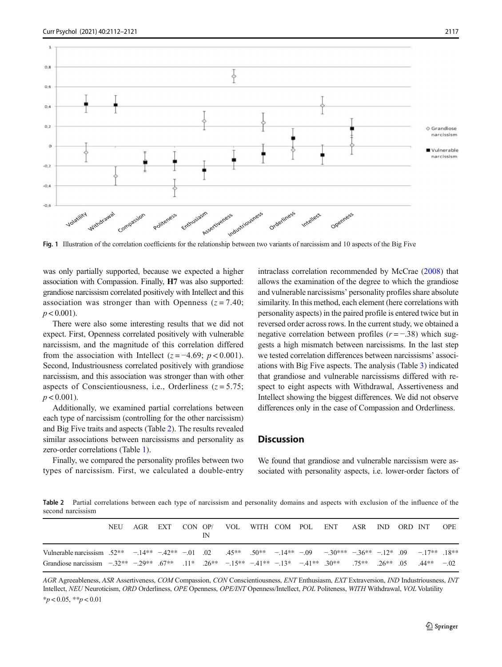<span id="page-5-0"></span>

Fig. 1 Illustration of the correlation coefficients for the relationship between two variants of narcissism and 10 aspects of the Big Five

was only partially supported, because we expected a higher association with Compassion. Finally, H7 was also supported: grandiose narcissism correlated positively with Intellect and this association was stronger than with Openness  $(z = 7.40;$  $p < 0.001$ ).

There were also some interesting results that we did not expect. First, Openness correlated positively with vulnerable narcissism, and the magnitude of this correlation differed from the association with Intellect ( $z = -4.69$ ;  $p < 0.001$ ). Second, Industriousness correlated positively with grandiose narcissism, and this association was stronger than with other aspects of Conscientiousness, i.e., Orderliness  $(z = 5.75)$ ;  $p < 0.001$ ).

Additionally, we examined partial correlations between each type of narcissism (controlling for the other narcissism) and Big Five traits and aspects (Table 2). The results revealed similar associations between narcissisms and personality as zero-order correlations (Table [1\)](#page-4-0).

Finally, we compared the personality profiles between two types of narcissism. First, we calculated a double-entry intraclass correlation recommended by McCrae [\(2008\)](#page-9-0) that allows the examination of the degree to which the grandiose and vulnerable narcissisms' personality profiles share absolute similarity. In this method, each element (here correlations with personality aspects) in the paired profile is entered twice but in reversed order across rows. In the current study, we obtained a negative correlation between profiles  $(r = -0.38)$  which suggests a high mismatch between narcissisms. In the last step we tested correlation differences between narcissisms' associations with Big Five aspects. The analysis (Table [3](#page-6-0)) indicated that grandiose and vulnerable narcissisms differed with respect to eight aspects with Withdrawal, Assertiveness and Intellect showing the biggest differences. We did not observe differences only in the case of Compassion and Orderliness.

## **Discussion**

We found that grandiose and vulnerable narcissism were associated with personality aspects, i.e. lower-order factors of

Table 2 Partial correlations between each type of narcissism and personality domains and aspects with exclusion of the influence of the second narcissism

|                                                                                                                                                                        | NEU |  |  |  |  | AGR EXT CON OP/ VOL WITH COM POL ENT ASR IND ORD INT |  |  | <b>OPE</b> |
|------------------------------------------------------------------------------------------------------------------------------------------------------------------------|-----|--|--|--|--|------------------------------------------------------|--|--|------------|
| Vulnerable narcissism 52** -14** -42** -01 02 45** 50** -14** -09 -30*** -36** -12* 09 -17** 18**                                                                      |     |  |  |  |  |                                                      |  |  |            |
| Grandiose narcissism $-32^{**}$ $-29^{**}$ $-67^{**}$ $11^{*}$ $26^{**}$ $-15^{**}$ $-41^{**}$ $-13^{*}$ $-41^{**}$ $30^{**}$ $30^{**}$ $26^{**}$ $05$ $44^{**}$ $-02$ |     |  |  |  |  |                                                      |  |  |            |

AGR Agreeableness, ASR Assertiveness, COM Compassion, CON Conscientiousness, ENT Enthusiasm, EXT Extraversion, IND Industriousness, INT Intellect, NEU Neuroticism, ORD Orderliness, OPE Openness, OPE/INT Openness/Intellect, POL Politeness, WITH Withdrawal, VOL Volatility  $*_{p}$  < 0.05,  $*_{p}$  < 0.01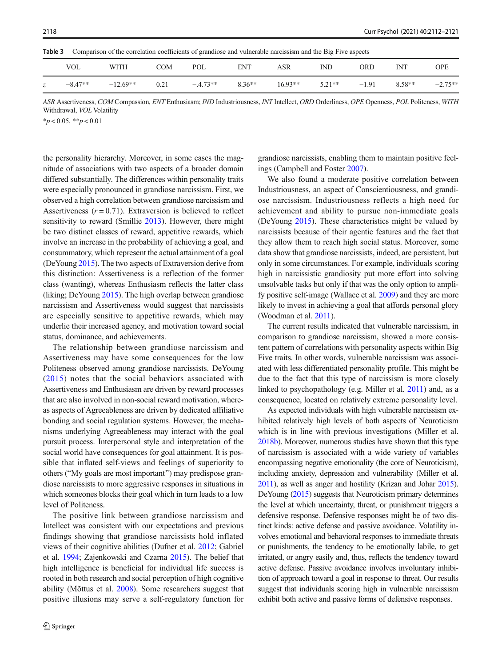<span id="page-6-0"></span>Table 3 Comparison of the correlation coefficients of grandiose and vulnerable narcissism and the Big Five aspects

|               | VOL       | WITH       | COM  | POL       | ENT      | <b>ASR</b> | IND      | <b>ORD</b> | IΝT      | OPE       |
|---------------|-----------|------------|------|-----------|----------|------------|----------|------------|----------|-----------|
| $\mathcal{Z}$ | $-8.47**$ | $-12.69**$ | 0.21 | $-4.73**$ | $8.36**$ | $16.93**$  | $5.21**$ | $-1.91$    | $8.58**$ | $-2.75**$ |

ASR Assertiveness, COM Compassion, ENT Enthusiasm; IND Industriousness, INT Intellect, ORD Orderliness, OPE Openness, POL Politeness, WITH Withdrawal, VOL Volatility

 $*_{p}$  < 0.05,  $*_{p}$  < 0.01

the personality hierarchy. Moreover, in some cases the magnitude of associations with two aspects of a broader domain differed substantially. The differences within personality traits were especially pronounced in grandiose narcissism. First, we observed a high correlation between grandiose narcissism and Assertiveness  $(r = 0.71)$ . Extraversion is believed to reflect sensitivity to reward (Smillie [2013\)](#page-9-0). However, there might be two distinct classes of reward, appetitive rewards, which involve an increase in the probability of achieving a goal, and consummatory, which represent the actual attainment of a goal (DeYoung [2015\)](#page-8-0). The two aspects of Extraversion derive from this distinction: Assertiveness is a reflection of the former class (wanting), whereas Enthusiasm reflects the latter class (liking; DeYoung [2015\)](#page-8-0). The high overlap between grandiose narcissism and Assertiveness would suggest that narcissists are especially sensitive to appetitive rewards, which may underlie their increased agency, and motivation toward social status, dominance, and achievements.

The relationship between grandiose narcissism and Assertiveness may have some consequences for the low Politeness observed among grandiose narcissists. DeYoung ([2015\)](#page-8-0) notes that the social behaviors associated with Assertiveness and Enthusiasm are driven by reward processes that are also involved in non-social reward motivation, whereas aspects of Agreeableness are driven by dedicated affiliative bonding and social regulation systems. However, the mechanisms underlying Agreeableness may interact with the goal pursuit process. Interpersonal style and interpretation of the social world have consequences for goal attainment. It is possible that inflated self-views and feelings of superiority to others ("My goals are most important") may predispose grandiose narcissists to more aggressive responses in situations in which someones blocks their goal which in turn leads to a low level of Politeness.

The positive link between grandiose narcissism and Intellect was consistent with our expectations and previous findings showing that grandiose narcissists hold inflated views of their cognitive abilities (Dufner et al. [2012;](#page-8-0) Gabriel et al. [1994;](#page-9-0) Zajenkowski and Czarna [2015\)](#page-9-0). The belief that high intelligence is beneficial for individual life success is rooted in both research and social perception of high cognitive ability (Mõttus et al. [2008](#page-9-0)). Some researchers suggest that positive illusions may serve a self-regulatory function for grandiose narcissists, enabling them to maintain positive feelings (Campbell and Foster [2007](#page-8-0)).

We also found a moderate positive correlation between Industriousness, an aspect of Conscientiousness, and grandiose narcissism. Industriousness reflects a high need for achievement and ability to pursue non-immediate goals (DeYoung [2015\)](#page-8-0). These characteristics might be valued by narcissists because of their agentic features and the fact that they allow them to reach high social status. Moreover, some data show that grandiose narcissists, indeed, are persistent, but only in some circumstances. For example, individuals scoring high in narcissistic grandiosity put more effort into solving unsolvable tasks but only if that was the only option to amplify positive self-image (Wallace et al. [2009](#page-9-0)) and they are more likely to invest in achieving a goal that affords personal glory (Woodman et al. [2011\)](#page-9-0).

The current results indicated that vulnerable narcissism, in comparison to grandiose narcissism, showed a more consistent pattern of correlations with personality aspects within Big Five traits. In other words, vulnerable narcissism was associated with less differentiated personality profile. This might be due to the fact that this type of narcissism is more closely linked to psychopathology (e.g. Miller et al. [2011\)](#page-9-0) and, as a consequence, located on relatively extreme personality level.

As expected individuals with high vulnerable narcissism exhibited relatively high levels of both aspects of Neuroticism which is in line with previous investigations (Miller et al. [2018b\)](#page-9-0). Moreover, numerous studies have shown that this type of narcissism is associated with a wide variety of variables encompassing negative emotionality (the core of Neuroticism), including anxiety, depression and vulnerability (Miller et al. [2011\)](#page-9-0), as well as anger and hostility (Krizan and Johar [2015\)](#page-9-0). DeYoung ([2015\)](#page-8-0) suggests that Neuroticism primary determines the level at which uncertainty, threat, or punishment triggers a defensive response. Defensive responses might be of two distinct kinds: active defense and passive avoidance. Volatility involves emotional and behavioral responses to immediate threats or punishments, the tendency to be emotionally labile, to get irritated, or angry easily and, thus, reflects the tendency toward active defense. Passive avoidance involves involuntary inhibition of approach toward a goal in response to threat. Our results suggest that individuals scoring high in vulnerable narcissism exhibit both active and passive forms of defensive responses.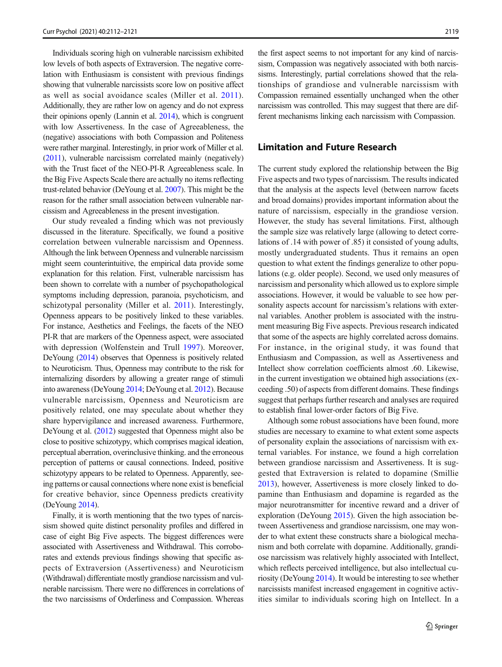Individuals scoring high on vulnerable narcissism exhibited low levels of both aspects of Extraversion. The negative correlation with Enthusiasm is consistent with previous findings showing that vulnerable narcissists score low on positive affect as well as social avoidance scales (Miller et al. [2011](#page-9-0)). Additionally, they are rather low on agency and do not express their opinions openly (Lannin et al. [2014\)](#page-9-0), which is congruent with low Assertiveness. In the case of Agreeableness, the (negative) associations with both Compassion and Politeness were rather marginal. Interestingly, in prior work of Miller et al. [\(2011](#page-9-0)), vulnerable narcissism correlated mainly (negatively) with the Trust facet of the NEO-PI-R Agreeableness scale. In the Big Five Aspects Scale there are actually no items reflecting trust-related behavior (DeYoung et al. [2007\)](#page-8-0). This might be the reason for the rather small association between vulnerable narcissism and Agreeableness in the present investigation.

Our study revealed a finding which was not previously discussed in the literature. Specifically, we found a positive correlation between vulnerable narcissism and Openness. Although the link between Openness and vulnerable narcissism might seem counterintuitive, the empirical data provide some explanation for this relation. First, vulnerable narcissism has been shown to correlate with a number of psychopathological symptoms including depression, paranoia, psychoticism, and schizotypal personality (Miller et al. [2011\)](#page-9-0). Interestingly, Openness appears to be positively linked to these variables. For instance, Aesthetics and Feelings, the facets of the NEO PI-R that are markers of the Openness aspect, were associated with depression (Wolfenstein and Trull [1997\)](#page-9-0). Moreover, DeYoung ([2014\)](#page-8-0) observes that Openness is positively related to Neuroticism. Thus, Openness may contribute to the risk for internalizing disorders by allowing a greater range of stimuli into awareness (DeYoung [2014;](#page-8-0) DeYoung et al. [2012](#page-8-0)). Because vulnerable narcissism, Openness and Neuroticism are positively related, one may speculate about whether they share hypervigilance and increased awareness. Furthermore, DeYoung et al. ([2012\)](#page-8-0) suggested that Openness might also be close to positive schizotypy, which comprises magical ideation, perceptual aberration, overinclusive thinking. and the erroneous perception of patterns or causal connections. Indeed, positive schizotypy appears to be related to Openness. Apparently, seeing patterns or causal connections where none exist is beneficial for creative behavior, since Openness predicts creativity (DeYoung [2014](#page-8-0)).

Finally, it is worth mentioning that the two types of narcissism showed quite distinct personality profiles and differed in case of eight Big Five aspects. The biggest differences were associated with Assertiveness and Withdrawal. This corroborates and extends previous findings showing that specific aspects of Extraversion (Assertiveness) and Neuroticism (Withdrawal) differentiate mostly grandiose narcissism and vulnerable narcissism. There were no differences in correlations of the two narcissisms of Orderliness and Compassion. Whereas

the first aspect seems to not important for any kind of narcissism, Compassion was negatively associated with both narcissisms. Interestingly, partial correlations showed that the relationships of grandiose and vulnerable narcissism with Compassion remained essentially unchanged when the other narcissism was controlled. This may suggest that there are different mechanisms linking each narcissism with Compassion.

# Limitation and Future Research

The current study explored the relationship between the Big Five aspects and two types of narcissism. The results indicated that the analysis at the aspects level (between narrow facets and broad domains) provides important information about the nature of narcissism, especially in the grandiose version. However, the study has several limitations. First, although the sample size was relatively large (allowing to detect correlations of .14 with power of .85) it consisted of young adults, mostly undergraduated students. Thus it remains an open question to what extent the findings generalize to other populations (e.g. older people). Second, we used only measures of narcissism and personality which allowed us to explore simple associations. However, it would be valuable to see how personality aspects account for narcissism's relations with external variables. Another problem is associated with the instrument measuring Big Five aspects. Previous research indicated that some of the aspects are highly correlated across domains. For instance, in the original study, it was found that Enthusiasm and Compassion, as well as Assertiveness and Intellect show correlation coefficients almost .60. Likewise, in the current investigation we obtained high associations (exceeding .50) of aspects from different domains. These findings suggest that perhaps further research and analyses are required to establish final lower-order factors of Big Five.

Although some robust associations have been found, more studies are necessary to examine to what extent some aspects of personality explain the associations of narcissism with external variables. For instance, we found a high correlation between grandiose narcissism and Assertiveness. It is suggested that Extraversion is related to dopamine (Smillie [2013\)](#page-9-0), however, Assertiveness is more closely linked to dopamine than Enthusiasm and dopamine is regarded as the major neurotransmitter for incentive reward and a driver of exploration (DeYoung [2015\)](#page-8-0). Given the high association between Assertiveness and grandiose narcissism, one may wonder to what extent these constructs share a biological mechanism and both correlate with dopamine. Additionally, grandiose narcissism was relatively highly associated with Intellect, which reflects perceived intelligence, but also intellectual curiosity (DeYoung [2014](#page-8-0)). It would be interesting to see whether narcissists manifest increased engagement in cognitive activities similar to individuals scoring high on Intellect. In a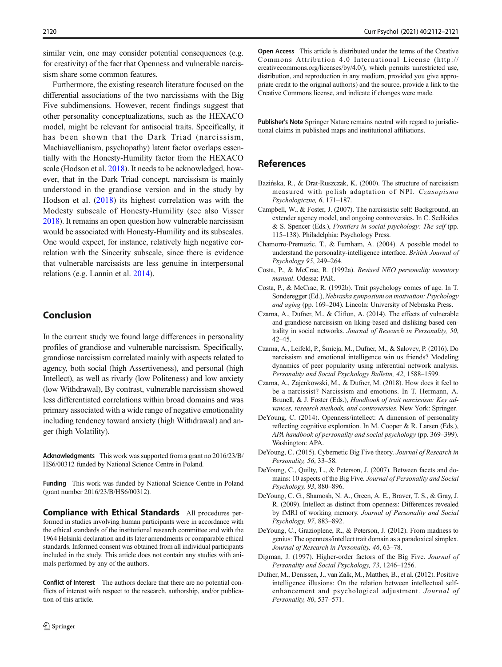<span id="page-8-0"></span>similar vein, one may consider potential consequences (e.g. for creativity) of the fact that Openness and vulnerable narcissism share some common features.

Furthermore, the existing research literature focused on the differential associations of the two narcissisms with the Big Five subdimensions. However, recent findings suggest that other personality conceptualizations, such as the HEXACO model, might be relevant for antisocial traits. Specifically, it has been shown that the Dark Triad (narcissism, Machiavellianism, psychopathy) latent factor overlaps essentially with the Honesty-Humility factor from the HEXACO scale (Hodson et al. [2018\)](#page-9-0). It needs to be acknowledged, however, that in the Dark Triad concept, narcissism is mainly understood in the grandiose version and in the study by Hodson et al. [\(2018\)](#page-9-0) its highest correlation was with the Modesty subscale of Honesty-Humility (see also Visser [2018\)](#page-9-0). It remains an open question how vulnerable narcissism would be associated with Honesty-Humility and its subscales. One would expect, for instance, relatively high negative correlation with the Sincerity subscale, since there is evidence that vulnerable narcissists are less genuine in interpersonal relations (e.g. Lannin et al. [2014\)](#page-9-0).

## Conclusion

In the current study we found large differences in personality profiles of grandiose and vulnerable narcissism. Specifically, grandiose narcissism correlated mainly with aspects related to agency, both social (high Assertiveness), and personal (high Intellect), as well as rivarly (low Politeness) and low anxiety (low Withdrawal), By contrast, vulnerable narcissism showed less differentiated correlations within broad domains and was primary associated with a wide range of negative emotionality including tendency toward anxiety (high Withdrawal) and anger (high Volatility).

Acknowledgments This work was supported from a grant no 2016/23/B/ HS6/00312 funded by National Science Centre in Poland.

Funding This work was funded by National Science Centre in Poland (grant number 2016/23/B/HS6/00312).

Compliance with Ethical Standards All procedures performed in studies involving human participants were in accordance with the ethical standards of the institutional research committee and with the 1964 Helsinki declaration and its later amendments or comparable ethical standards. Informed consent was obtained from all individual participants included in the study. This article does not contain any studies with animals performed by any of the authors.

Conflict of Interest The authors declare that there are no potential conflicts of interest with respect to the research, authorship, and/or publication of this article.

Open Access This article is distributed under the terms of the Creative Commons Attribution 4.0 International License (http:// creativecommons.org/licenses/by/4.0/), which permits unrestricted use, distribution, and reproduction in any medium, provided you give appropriate credit to the original author(s) and the source, provide a link to the Creative Commons license, and indicate if changes were made.

Publisher's Note Springer Nature remains neutral with regard to jurisdictional claims in published maps and institutional affiliations.

# References

- Bazińska, R., & Drat-Ruszczak, K. (2000). The structure of narcissism measured with polish adaptation of NPI. Czasopismo Psychologiczne, 6, 171–187.
- Campbell, W., & Foster, J. (2007). The narcissistic self: Background, an extender agency model, and ongoing controversies. In C. Sedikides & S. Spencer (Eds.), Frontiers in social psychology: The self (pp. 115–138). Philadelphia: Psychology Press.
- Chamorro-Premuzic, T., & Furnham, A. (2004). A possible model to understand the personality-intelligence interface. British Journal of Psychology 95, 249–264.
- Costa, P., & McCrae, R. (1992a). Revised NEO personality inventory manual. Odessa: PAR.
- Costa, P., & McCrae, R. (1992b). Trait psychology comes of age. In T. Sonderegger (Ed.), Nebraska symposium on motivation: Psychology and aging (pp. 169–204). Lincoln: University of Nebraska Press.
- Czarna, A., Dufner, M., & Clifton, A. (2014). The effects of vulnerable and grandiose narcissism on liking-based and disliking-based centrality in social networks. Journal of Research in Personality, 50, 42–45.
- Czarna, A., Leifeld, P., Śmieja, M., Dufner, M., & Salovey, P. (2016). Do narcissism and emotional intelligence win us friends? Modeling dynamics of peer popularity using inferential network analysis. Personality and Social Psychology Bulletin, 42, 1588–1599.
- Czarna, A., Zajenkowski, M., & Dufner, M. (2018). How does it feel to be a narcissist? Narcissism and emotions. In T. Hermann, A. Brunell, & J. Foster (Eds.), Handbook of trait narcissism: Key advances, research methods, and controversies. New York: Springer.
- DeYoung, C. (2014). Openness/intellect: A dimension of personality reflecting cognitive exploration. In M. Cooper & R. Larsen (Eds.), APA handbook of personality and social psychology (pp. 369–399). Washington: APA.
- DeYoung, C. (2015). Cybernetic Big Five theory. Journal of Research in Personality, 56, 33-58.
- DeYoung, C., Quilty, L., & Peterson, J. (2007). Between facets and domains: 10 aspects of the Big Five. Journal of Personality and Social Psychology, 93, 880–896.
- DeYoung, C. G., Shamosh, N. A., Green, A. E., Braver, T. S., & Gray, J. R. (2009). Intellect as distinct from openness: Differences revealed by fMRI of working memory. Journal of Personality and Social Psychology, 97, 883–892.
- DeYoung, C., Grazioplene, R., & Peterson, J. (2012). From madness to genius: The openness/intellect trait domain as a paradoxical simplex. Journal of Research in Personality, 46, 63–78.
- Digman, J. (1997). Higher-order factors of the Big Five. Journal of Personality and Social Psychology, 73, 1246–1256.
- Dufner, M., Denissen, J., van Zalk, M., Matthes, B., et al. (2012). Positive intelligence illusions: On the relation between intellectual selfenhancement and psychological adjustment. Journal of Personality, 80, 537–571.